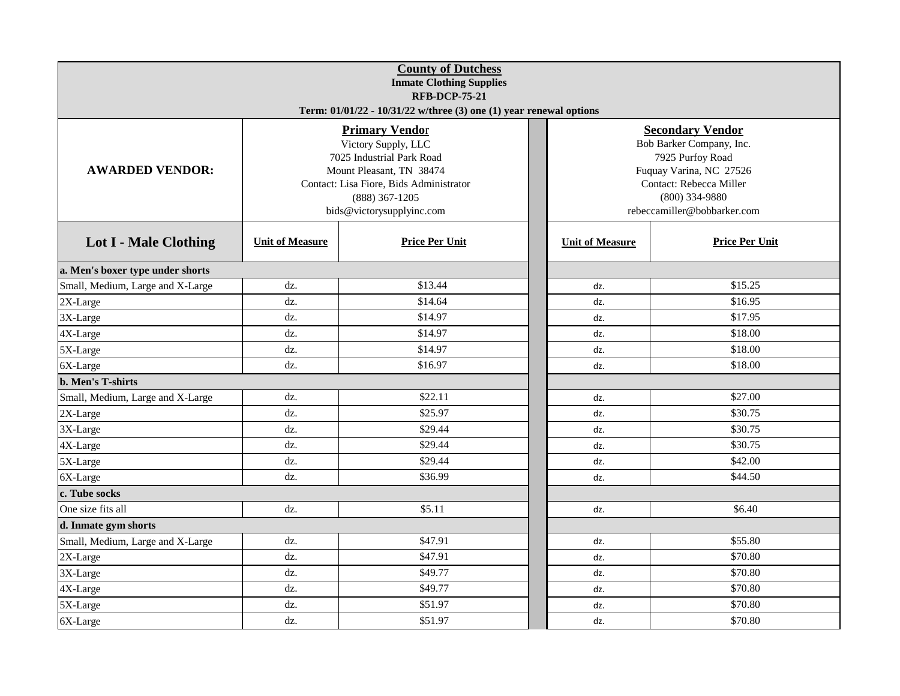| <b>County of Dutchess</b><br><b>Inmate Clothing Supplies</b><br><b>RFB-DCP-75-21</b><br>Term: 01/01/22 - 10/31/22 w/three (3) one (1) year renewal options |                                                                                                                                                                               |                                                                                                                                                                                  |                        |                       |  |  |  |  |  |
|------------------------------------------------------------------------------------------------------------------------------------------------------------|-------------------------------------------------------------------------------------------------------------------------------------------------------------------------------|----------------------------------------------------------------------------------------------------------------------------------------------------------------------------------|------------------------|-----------------------|--|--|--|--|--|
| <b>AWARDED VENDOR:</b>                                                                                                                                     | <b>Primary Vendor</b><br>Victory Supply, LLC<br>7025 Industrial Park Road<br>Mount Pleasant, TN 38474<br>Contact: Lisa Fiore, Bids Administrator<br>bids@victorysupplyinc.com | <b>Secondary Vendor</b><br>Bob Barker Company, Inc.<br>7925 Purfoy Road<br>Fuquay Varina, NC 27526<br>Contact: Rebecca Miller<br>$(800)$ 334-9880<br>rebeccamiller@bobbarker.com |                        |                       |  |  |  |  |  |
| <b>Lot I - Male Clothing</b>                                                                                                                               | <b>Unit of Measure</b>                                                                                                                                                        | <b>Price Per Unit</b>                                                                                                                                                            | <b>Unit of Measure</b> | <b>Price Per Unit</b> |  |  |  |  |  |
| a. Men's boxer type under shorts                                                                                                                           |                                                                                                                                                                               |                                                                                                                                                                                  |                        |                       |  |  |  |  |  |
| Small, Medium, Large and X-Large                                                                                                                           | dz.                                                                                                                                                                           | \$13.44                                                                                                                                                                          | dz.                    | \$15.25               |  |  |  |  |  |
| 2X-Large                                                                                                                                                   | dz.                                                                                                                                                                           | \$14.64                                                                                                                                                                          | dz.                    | \$16.95               |  |  |  |  |  |
| 3X-Large                                                                                                                                                   | dz.                                                                                                                                                                           | \$14.97                                                                                                                                                                          | dz.                    | \$17.95               |  |  |  |  |  |
| 4X-Large                                                                                                                                                   | dz.                                                                                                                                                                           | \$14.97                                                                                                                                                                          | dz.                    | \$18.00               |  |  |  |  |  |
| 5X-Large                                                                                                                                                   | dz.                                                                                                                                                                           | \$14.97                                                                                                                                                                          | dz.                    | \$18.00               |  |  |  |  |  |
| 6X-Large                                                                                                                                                   | dz.                                                                                                                                                                           | \$16.97                                                                                                                                                                          | dz.                    | \$18.00               |  |  |  |  |  |
| <b>b. Men's T-shirts</b>                                                                                                                                   |                                                                                                                                                                               |                                                                                                                                                                                  |                        |                       |  |  |  |  |  |
| Small, Medium, Large and X-Large                                                                                                                           | dz.                                                                                                                                                                           | \$22.11                                                                                                                                                                          | dz.                    | \$27.00               |  |  |  |  |  |
| 2X-Large                                                                                                                                                   | dz.                                                                                                                                                                           | \$25.97                                                                                                                                                                          | dz.                    | \$30.75               |  |  |  |  |  |
| 3X-Large                                                                                                                                                   | dz.                                                                                                                                                                           | \$29.44                                                                                                                                                                          | dz.                    | \$30.75               |  |  |  |  |  |
| 4X-Large                                                                                                                                                   | dz.                                                                                                                                                                           | \$29.44                                                                                                                                                                          | dz.                    | \$30.75               |  |  |  |  |  |
| 5X-Large                                                                                                                                                   | dz.                                                                                                                                                                           | \$29.44                                                                                                                                                                          | dz.                    | \$42.00               |  |  |  |  |  |
| 6X-Large                                                                                                                                                   | dz.                                                                                                                                                                           | \$36.99                                                                                                                                                                          | dz.                    | \$44.50               |  |  |  |  |  |
| c. Tube socks                                                                                                                                              |                                                                                                                                                                               |                                                                                                                                                                                  |                        |                       |  |  |  |  |  |
| One size fits all                                                                                                                                          | dz.                                                                                                                                                                           | \$5.11                                                                                                                                                                           | dz.                    | \$6.40                |  |  |  |  |  |
| d. Inmate gym shorts                                                                                                                                       |                                                                                                                                                                               |                                                                                                                                                                                  |                        |                       |  |  |  |  |  |
| Small, Medium, Large and X-Large                                                                                                                           | dz.                                                                                                                                                                           | \$47.91                                                                                                                                                                          | dz.                    | \$55.80               |  |  |  |  |  |
| 2X-Large                                                                                                                                                   | dz.                                                                                                                                                                           | \$47.91                                                                                                                                                                          | dz.                    | \$70.80               |  |  |  |  |  |
| 3X-Large                                                                                                                                                   | dz.                                                                                                                                                                           | \$49.77                                                                                                                                                                          | dz.                    | \$70.80               |  |  |  |  |  |
| 4X-Large                                                                                                                                                   | dz.                                                                                                                                                                           | \$49.77                                                                                                                                                                          | dz.                    | \$70.80               |  |  |  |  |  |
| 5X-Large                                                                                                                                                   | dz.                                                                                                                                                                           | \$51.97                                                                                                                                                                          | dz.                    | \$70.80               |  |  |  |  |  |
| 6X-Large                                                                                                                                                   | dz.                                                                                                                                                                           | \$51.97                                                                                                                                                                          | dz.                    | \$70.80               |  |  |  |  |  |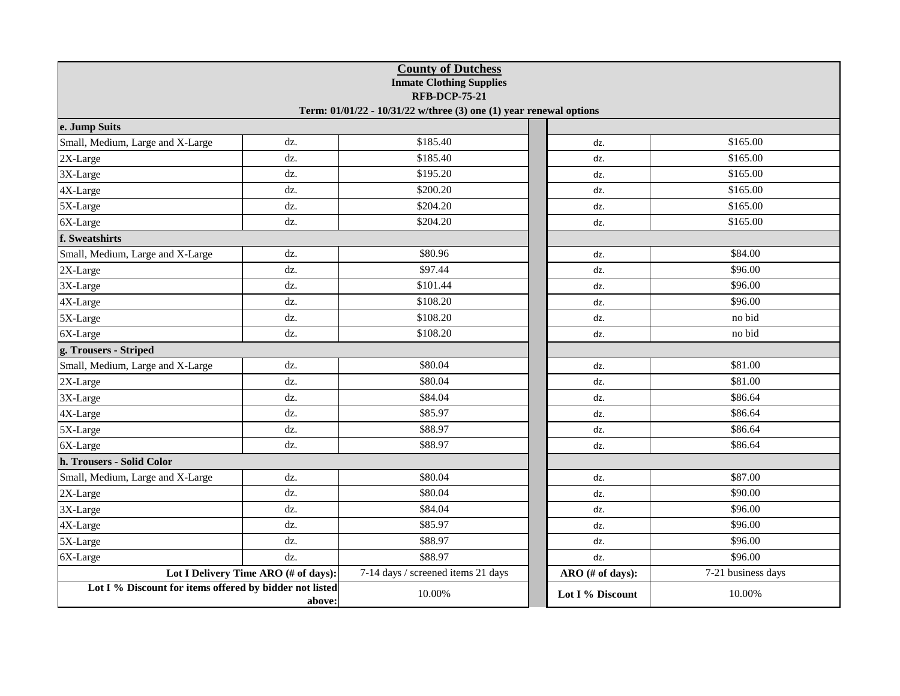| <b>County of Dutchess</b><br><b>Inmate Clothing Supplies</b><br><b>RFB-DCP-75-21</b><br>Term: 01/01/22 - 10/31/22 w/three (3) one (1) year renewal options |                                      |                                    |  |                  |                    |  |  |  |  |
|------------------------------------------------------------------------------------------------------------------------------------------------------------|--------------------------------------|------------------------------------|--|------------------|--------------------|--|--|--|--|
| e. Jump Suits                                                                                                                                              |                                      |                                    |  |                  |                    |  |  |  |  |
| Small, Medium, Large and X-Large                                                                                                                           | dz.                                  | \$185.40                           |  | dz.              | \$165.00           |  |  |  |  |
| 2X-Large                                                                                                                                                   | dz.                                  | \$185.40                           |  | dz.              | \$165.00           |  |  |  |  |
| 3X-Large                                                                                                                                                   | dz.                                  | \$195.20                           |  | dz.              | \$165.00           |  |  |  |  |
| 4X-Large                                                                                                                                                   | dz.                                  | \$200.20                           |  | dz.              | \$165.00           |  |  |  |  |
| 5X-Large                                                                                                                                                   | dz.                                  | \$204.20                           |  | dz.              | \$165.00           |  |  |  |  |
| 6X-Large                                                                                                                                                   | dz.                                  | \$204.20                           |  | dz.              | \$165.00           |  |  |  |  |
| f. Sweatshirts                                                                                                                                             |                                      |                                    |  |                  |                    |  |  |  |  |
| Small, Medium, Large and X-Large                                                                                                                           | dz.                                  | \$80.96                            |  | dz.              | \$84.00            |  |  |  |  |
| 2X-Large                                                                                                                                                   | dz.                                  | \$97.44                            |  | dz.              | \$96.00            |  |  |  |  |
| 3X-Large                                                                                                                                                   | dz.                                  | \$101.44                           |  | dz.              | \$96.00            |  |  |  |  |
| 4X-Large                                                                                                                                                   | dz.                                  | \$108.20                           |  | dz.              | \$96.00            |  |  |  |  |
| 5X-Large                                                                                                                                                   | dz.                                  | \$108.20                           |  | dz.              | no bid             |  |  |  |  |
| 6X-Large                                                                                                                                                   | dz.                                  | \$108.20                           |  | dz.              | no bid             |  |  |  |  |
| g. Trousers - Striped                                                                                                                                      |                                      |                                    |  |                  |                    |  |  |  |  |
| Small, Medium, Large and X-Large                                                                                                                           | dz.                                  | \$80.04                            |  | dz.              | \$81.00            |  |  |  |  |
| 2X-Large                                                                                                                                                   | dz.                                  | \$80.04                            |  | dz.              | \$81.00            |  |  |  |  |
| 3X-Large                                                                                                                                                   | dz.                                  | \$84.04                            |  | dz.              | \$86.64            |  |  |  |  |
| 4X-Large                                                                                                                                                   | dz.                                  | \$85.97                            |  | dz.              | \$86.64            |  |  |  |  |
| 5X-Large                                                                                                                                                   | dz.                                  | \$88.97                            |  | dz.              | \$86.64            |  |  |  |  |
| 6X-Large                                                                                                                                                   | dz.                                  | \$88.97                            |  | dz.              | \$86.64            |  |  |  |  |
| h. Trousers - Solid Color                                                                                                                                  |                                      |                                    |  |                  |                    |  |  |  |  |
| Small, Medium, Large and X-Large                                                                                                                           | dz.                                  | \$80.04                            |  | dz.              | \$87.00            |  |  |  |  |
| 2X-Large                                                                                                                                                   | dz.                                  | \$80.04                            |  | dz.              | \$90.00            |  |  |  |  |
| 3X-Large                                                                                                                                                   | dz.                                  | \$84.04                            |  | dz.              | \$96.00            |  |  |  |  |
| 4X-Large                                                                                                                                                   | dz.                                  | \$85.97                            |  | dz.              | \$96.00            |  |  |  |  |
| 5X-Large                                                                                                                                                   | dz.                                  | \$88.97                            |  | dz.              | \$96.00            |  |  |  |  |
| 6X-Large                                                                                                                                                   | dz.                                  | \$88.97                            |  | dz.              | \$96.00            |  |  |  |  |
|                                                                                                                                                            | Lot I Delivery Time ARO (# of days): | 7-14 days / screened items 21 days |  | ARO (# of days): | 7-21 business days |  |  |  |  |
| Lot I % Discount for items offered by bidder not listed<br>above:                                                                                          |                                      | 10.00%                             |  | Lot I % Discount | 10.00%             |  |  |  |  |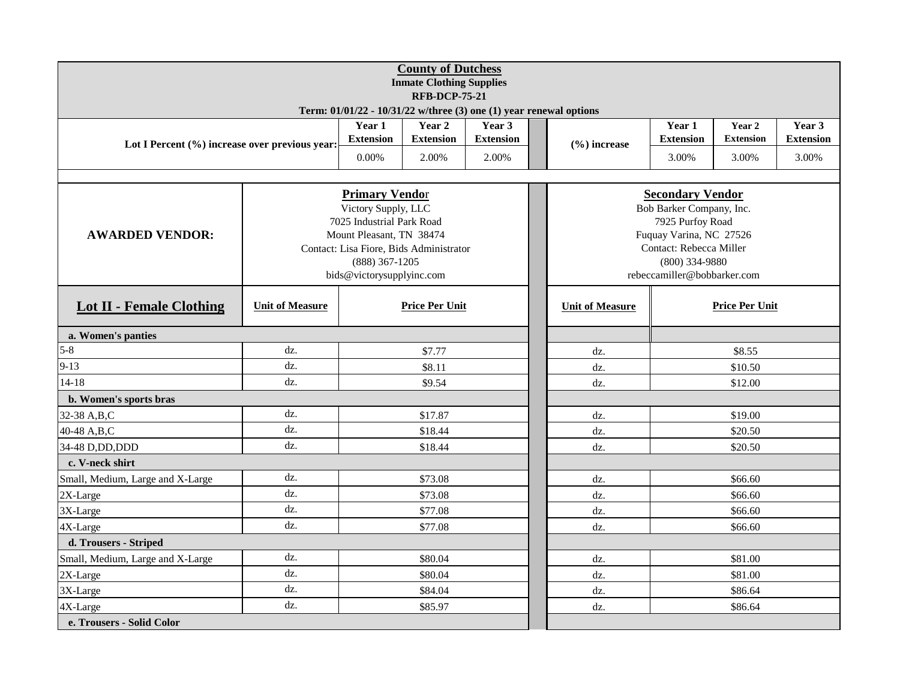| <b>County of Dutchess</b><br><b>Inmate Clothing Supplies</b>       |                            |                                                                                                                      |                            |       |                          |                                                                                                       |                            |                            |       |  |  |  |
|--------------------------------------------------------------------|----------------------------|----------------------------------------------------------------------------------------------------------------------|----------------------------|-------|--------------------------|-------------------------------------------------------------------------------------------------------|----------------------------|----------------------------|-------|--|--|--|
| <b>RFB-DCP-75-21</b>                                               |                            |                                                                                                                      |                            |       |                          |                                                                                                       |                            |                            |       |  |  |  |
| Term: 01/01/22 - 10/31/22 w/three (3) one (1) year renewal options |                            |                                                                                                                      |                            |       |                          |                                                                                                       |                            |                            |       |  |  |  |
| Lot I Percent (%) increase over previous year:                     | Year 1<br><b>Extension</b> | Year 2<br><b>Extension</b>                                                                                           | Year 3<br><b>Extension</b> |       | $(\frac{6}{6})$ increase | Year 1<br><b>Extension</b>                                                                            | Year 2<br><b>Extension</b> | Year 3<br><b>Extension</b> |       |  |  |  |
|                                                                    |                            | 0.00%                                                                                                                | 2.00%                      | 2.00% |                          |                                                                                                       | 3.00%                      | 3.00%                      | 3.00% |  |  |  |
|                                                                    |                            |                                                                                                                      |                            |       |                          |                                                                                                       |                            |                            |       |  |  |  |
|                                                                    |                            | <b>Primary Vendor</b><br>Victory Supply, LLC<br>7025 Industrial Park Road                                            |                            |       |                          | <b>Secondary Vendor</b><br>Bob Barker Company, Inc.<br>7925 Purfoy Road                               |                            |                            |       |  |  |  |
| <b>AWARDED VENDOR:</b>                                             |                            | Mount Pleasant, TN 38474<br>Contact: Lisa Fiore, Bids Administrator<br>$(888)$ 367-1205<br>bids@victorysupplyinc.com |                            |       |                          | Fuquay Varina, NC 27526<br>Contact: Rebecca Miller<br>$(800)$ 334-9880<br>rebeccamiller@bobbarker.com |                            |                            |       |  |  |  |
| <b>Lot II - Female Clothing</b>                                    | <b>Unit of Measure</b>     | <b>Price Per Unit</b>                                                                                                |                            |       |                          | <b>Price Per Unit</b><br><b>Unit of Measure</b>                                                       |                            |                            |       |  |  |  |
| a. Women's panties                                                 |                            |                                                                                                                      |                            |       |                          |                                                                                                       |                            |                            |       |  |  |  |
| $5 - 8$                                                            | dz.                        |                                                                                                                      | \$7.77                     |       |                          | dz.                                                                                                   |                            | \$8.55                     |       |  |  |  |
| $9 - 13$                                                           | dz.                        |                                                                                                                      | \$8.11                     |       |                          | dz.                                                                                                   |                            | \$10.50                    |       |  |  |  |
| $14 - 18$                                                          | dz.                        |                                                                                                                      | \$9.54                     |       |                          | dz.                                                                                                   | \$12.00                    |                            |       |  |  |  |
| b. Women's sports bras                                             |                            |                                                                                                                      |                            |       |                          |                                                                                                       |                            |                            |       |  |  |  |
| 32-38 A,B,C                                                        | dz.                        |                                                                                                                      | \$17.87                    |       |                          | \$19.00<br>dz.                                                                                        |                            |                            |       |  |  |  |
| 40-48 A,B,C                                                        | dz.                        |                                                                                                                      | \$18.44                    |       |                          | dz.                                                                                                   | \$20.50                    |                            |       |  |  |  |
| 34-48 D, DD, DDD                                                   | dz.                        |                                                                                                                      | \$18.44                    |       |                          | dz.                                                                                                   |                            | \$20.50                    |       |  |  |  |
| c. V-neck shirt                                                    |                            |                                                                                                                      |                            |       |                          |                                                                                                       |                            |                            |       |  |  |  |
| Small, Medium, Large and X-Large                                   | dz.                        |                                                                                                                      | \$73.08                    |       |                          | dz.                                                                                                   |                            | \$66.60                    |       |  |  |  |
| 2X-Large                                                           | dz.                        |                                                                                                                      | \$73.08                    |       |                          | dz.                                                                                                   |                            | \$66.60                    |       |  |  |  |
| 3X-Large                                                           | dz.                        |                                                                                                                      | \$77.08                    |       |                          | dz.                                                                                                   |                            | \$66.60                    |       |  |  |  |
| 4X-Large                                                           | dz.                        |                                                                                                                      | \$77.08                    |       |                          | dz.                                                                                                   |                            | \$66.60                    |       |  |  |  |
| d. Trousers - Striped                                              |                            |                                                                                                                      |                            |       |                          |                                                                                                       |                            |                            |       |  |  |  |
| Small, Medium, Large and X-Large                                   | dz.                        |                                                                                                                      | \$80.04                    |       |                          | dz.                                                                                                   |                            | \$81.00                    |       |  |  |  |
| 2X-Large                                                           | dz.                        |                                                                                                                      | \$80.04                    |       |                          | dz.                                                                                                   |                            | \$81.00                    |       |  |  |  |
| 3X-Large                                                           | dz.                        |                                                                                                                      | \$84.04                    |       |                          | dz.                                                                                                   |                            | \$86.64                    |       |  |  |  |
| 4X-Large                                                           | dz.                        |                                                                                                                      | \$85.97                    |       |                          | dz.                                                                                                   |                            | \$86.64                    |       |  |  |  |
| e. Trousers - Solid Color                                          |                            |                                                                                                                      |                            |       |                          |                                                                                                       |                            |                            |       |  |  |  |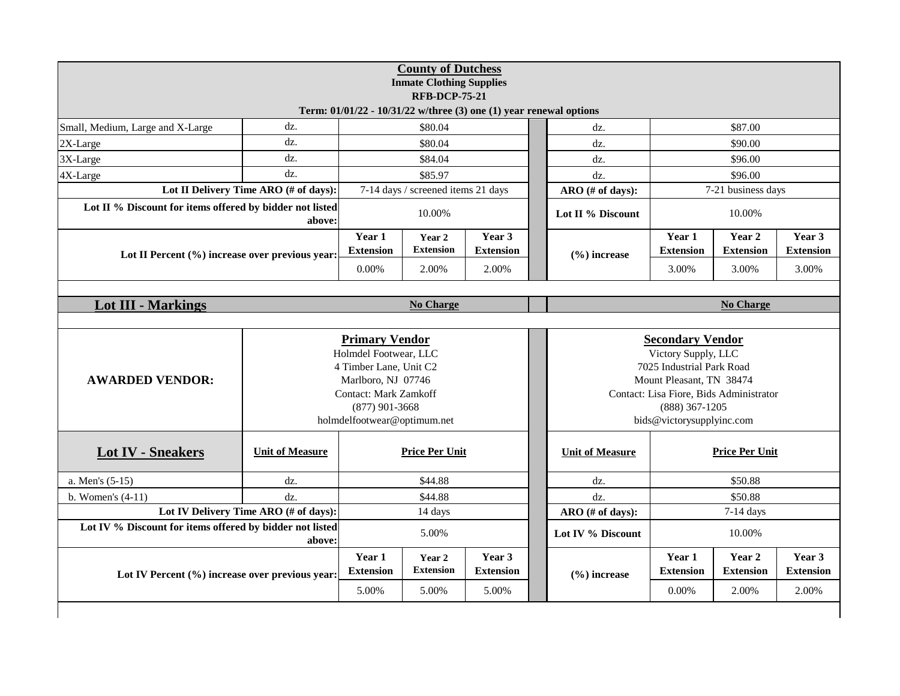| dz.<br>\$80.04<br>\$87.00<br>Small, Medium, Large and X-Large<br>dz.<br>dz.<br>\$80.04<br>\$90.00<br>2X-Large<br>dz.<br>dz.<br>3X-Large<br>\$84.04<br>\$96.00<br>dz.<br>dz.<br>\$85.97<br>\$96.00<br>4X-Large<br>dz.<br>7-14 days / screened items 21 days<br>7-21 business days<br>Lot II Delivery Time ARO (# of days):<br>ARO (# of days):<br>Lot II % Discount for items offered by bidder not listed<br>10.00%<br>10.00%<br>Lot II % Discount<br>above:<br>Year 3<br>Year 1<br>Year 1<br>Year 2<br>Year 2<br><b>Extension</b><br><b>Extension</b><br><b>Extension</b><br><b>Extension</b><br><b>Extension</b><br>$(\frac{6}{6})$ increase<br>Lot II Percent (%) increase over previous year:<br>$0.00\%$<br>2.00%<br>2.00%<br>3.00%<br>3.00%<br><b>Lot III - Markings</b><br>No Charge<br><b>No Charge</b><br><b>Primary Vendor</b><br><b>Secondary Vendor</b><br>Victory Supply, LLC<br>Holmdel Footwear, LLC<br>4 Timber Lane, Unit C2<br>7025 Industrial Park Road<br><b>AWARDED VENDOR:</b><br>Marlboro, NJ 07746<br>Mount Pleasant, TN 38474<br><b>Contact: Mark Zamkoff</b><br>Contact: Lisa Fiore, Bids Administrator<br>$(888)$ 367-1205<br>$(877)$ 901-3668<br>holmdelfootwear@optimum.net<br>bids@victorysupplyinc.com<br><b>Unit of Measure</b><br><b>Price Per Unit</b><br><b>Price Per Unit</b><br><b>Lot IV - Sneakers</b><br><b>Unit of Measure</b><br>\$44.88<br>\$50.88<br>a. Men's (5-15)<br>dz.<br>dz.<br>\$44.88<br>\$50.88<br>b. Women's $(4-11)$<br>dz.<br>dz.<br>Lot IV Delivery Time ARO (# of days):<br>$7-14$ days<br>14 days<br>ARO (# of days):<br>Lot IV % Discount for items offered by bidder not listed<br>5.00%<br>Lot IV % Discount<br>10.00%<br>above:<br>Year 3<br>Year 1<br>Year 2<br>Year 1<br>Year 2 | <b>County of Dutchess</b><br><b>Inmate Clothing Supplies</b><br><b>RFB-DCP-75-21</b><br>Term: 01/01/22 - 10/31/22 w/three (3) one (1) year renewal options |  |  |  |  |  |  |                            |  |                            |  |
|--------------------------------------------------------------------------------------------------------------------------------------------------------------------------------------------------------------------------------------------------------------------------------------------------------------------------------------------------------------------------------------------------------------------------------------------------------------------------------------------------------------------------------------------------------------------------------------------------------------------------------------------------------------------------------------------------------------------------------------------------------------------------------------------------------------------------------------------------------------------------------------------------------------------------------------------------------------------------------------------------------------------------------------------------------------------------------------------------------------------------------------------------------------------------------------------------------------------------------------------------------------------------------------------------------------------------------------------------------------------------------------------------------------------------------------------------------------------------------------------------------------------------------------------------------------------------------------------------------------------------------------------------------------------------------------------------------------------------------------------------|------------------------------------------------------------------------------------------------------------------------------------------------------------|--|--|--|--|--|--|----------------------------|--|----------------------------|--|
|                                                                                                                                                                                                                                                                                                                                                                                                                                                                                                                                                                                                                                                                                                                                                                                                                                                                                                                                                                                                                                                                                                                                                                                                                                                                                                                                                                                                                                                                                                                                                                                                                                                                                                                                                  |                                                                                                                                                            |  |  |  |  |  |  |                            |  |                            |  |
|                                                                                                                                                                                                                                                                                                                                                                                                                                                                                                                                                                                                                                                                                                                                                                                                                                                                                                                                                                                                                                                                                                                                                                                                                                                                                                                                                                                                                                                                                                                                                                                                                                                                                                                                                  |                                                                                                                                                            |  |  |  |  |  |  |                            |  |                            |  |
|                                                                                                                                                                                                                                                                                                                                                                                                                                                                                                                                                                                                                                                                                                                                                                                                                                                                                                                                                                                                                                                                                                                                                                                                                                                                                                                                                                                                                                                                                                                                                                                                                                                                                                                                                  |                                                                                                                                                            |  |  |  |  |  |  |                            |  |                            |  |
|                                                                                                                                                                                                                                                                                                                                                                                                                                                                                                                                                                                                                                                                                                                                                                                                                                                                                                                                                                                                                                                                                                                                                                                                                                                                                                                                                                                                                                                                                                                                                                                                                                                                                                                                                  |                                                                                                                                                            |  |  |  |  |  |  |                            |  |                            |  |
|                                                                                                                                                                                                                                                                                                                                                                                                                                                                                                                                                                                                                                                                                                                                                                                                                                                                                                                                                                                                                                                                                                                                                                                                                                                                                                                                                                                                                                                                                                                                                                                                                                                                                                                                                  |                                                                                                                                                            |  |  |  |  |  |  |                            |  |                            |  |
|                                                                                                                                                                                                                                                                                                                                                                                                                                                                                                                                                                                                                                                                                                                                                                                                                                                                                                                                                                                                                                                                                                                                                                                                                                                                                                                                                                                                                                                                                                                                                                                                                                                                                                                                                  |                                                                                                                                                            |  |  |  |  |  |  |                            |  |                            |  |
|                                                                                                                                                                                                                                                                                                                                                                                                                                                                                                                                                                                                                                                                                                                                                                                                                                                                                                                                                                                                                                                                                                                                                                                                                                                                                                                                                                                                                                                                                                                                                                                                                                                                                                                                                  |                                                                                                                                                            |  |  |  |  |  |  |                            |  | Year 3<br><b>Extension</b> |  |
|                                                                                                                                                                                                                                                                                                                                                                                                                                                                                                                                                                                                                                                                                                                                                                                                                                                                                                                                                                                                                                                                                                                                                                                                                                                                                                                                                                                                                                                                                                                                                                                                                                                                                                                                                  |                                                                                                                                                            |  |  |  |  |  |  |                            |  | 3.00%                      |  |
|                                                                                                                                                                                                                                                                                                                                                                                                                                                                                                                                                                                                                                                                                                                                                                                                                                                                                                                                                                                                                                                                                                                                                                                                                                                                                                                                                                                                                                                                                                                                                                                                                                                                                                                                                  |                                                                                                                                                            |  |  |  |  |  |  |                            |  |                            |  |
|                                                                                                                                                                                                                                                                                                                                                                                                                                                                                                                                                                                                                                                                                                                                                                                                                                                                                                                                                                                                                                                                                                                                                                                                                                                                                                                                                                                                                                                                                                                                                                                                                                                                                                                                                  |                                                                                                                                                            |  |  |  |  |  |  |                            |  |                            |  |
|                                                                                                                                                                                                                                                                                                                                                                                                                                                                                                                                                                                                                                                                                                                                                                                                                                                                                                                                                                                                                                                                                                                                                                                                                                                                                                                                                                                                                                                                                                                                                                                                                                                                                                                                                  |                                                                                                                                                            |  |  |  |  |  |  |                            |  |                            |  |
|                                                                                                                                                                                                                                                                                                                                                                                                                                                                                                                                                                                                                                                                                                                                                                                                                                                                                                                                                                                                                                                                                                                                                                                                                                                                                                                                                                                                                                                                                                                                                                                                                                                                                                                                                  |                                                                                                                                                            |  |  |  |  |  |  |                            |  |                            |  |
|                                                                                                                                                                                                                                                                                                                                                                                                                                                                                                                                                                                                                                                                                                                                                                                                                                                                                                                                                                                                                                                                                                                                                                                                                                                                                                                                                                                                                                                                                                                                                                                                                                                                                                                                                  |                                                                                                                                                            |  |  |  |  |  |  |                            |  |                            |  |
|                                                                                                                                                                                                                                                                                                                                                                                                                                                                                                                                                                                                                                                                                                                                                                                                                                                                                                                                                                                                                                                                                                                                                                                                                                                                                                                                                                                                                                                                                                                                                                                                                                                                                                                                                  |                                                                                                                                                            |  |  |  |  |  |  |                            |  |                            |  |
|                                                                                                                                                                                                                                                                                                                                                                                                                                                                                                                                                                                                                                                                                                                                                                                                                                                                                                                                                                                                                                                                                                                                                                                                                                                                                                                                                                                                                                                                                                                                                                                                                                                                                                                                                  |                                                                                                                                                            |  |  |  |  |  |  |                            |  |                            |  |
|                                                                                                                                                                                                                                                                                                                                                                                                                                                                                                                                                                                                                                                                                                                                                                                                                                                                                                                                                                                                                                                                                                                                                                                                                                                                                                                                                                                                                                                                                                                                                                                                                                                                                                                                                  |                                                                                                                                                            |  |  |  |  |  |  |                            |  |                            |  |
| <b>Extension</b><br><b>Extension</b><br><b>Extension</b><br><b>Extension</b><br><b>Extension</b><br>Lot IV Percent (%) increase over previous year:<br>$(\% )$ increase                                                                                                                                                                                                                                                                                                                                                                                                                                                                                                                                                                                                                                                                                                                                                                                                                                                                                                                                                                                                                                                                                                                                                                                                                                                                                                                                                                                                                                                                                                                                                                          |                                                                                                                                                            |  |  |  |  |  |  | Year 3<br><b>Extension</b> |  |                            |  |
| 5.00%<br>5.00%<br>5.00%<br>0.00%<br>2.00%                                                                                                                                                                                                                                                                                                                                                                                                                                                                                                                                                                                                                                                                                                                                                                                                                                                                                                                                                                                                                                                                                                                                                                                                                                                                                                                                                                                                                                                                                                                                                                                                                                                                                                        |                                                                                                                                                            |  |  |  |  |  |  |                            |  | 2.00%                      |  |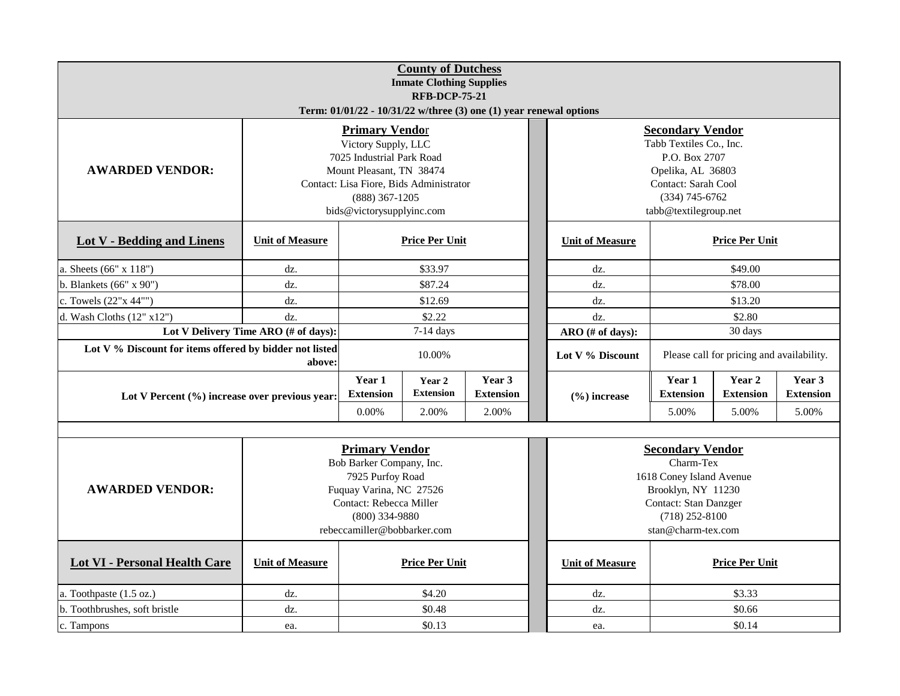|                                                         |                                      |                                                                                                                                                                                                   | <b>County of Dutchess</b><br><b>Inmate Clothing Supplies</b><br><b>RFB-DCP-75-21</b> |                                                                    |                  |                                                                                                                                                                |                                                                                                                                                           |                       |  |  |
|---------------------------------------------------------|--------------------------------------|---------------------------------------------------------------------------------------------------------------------------------------------------------------------------------------------------|--------------------------------------------------------------------------------------|--------------------------------------------------------------------|------------------|----------------------------------------------------------------------------------------------------------------------------------------------------------------|-----------------------------------------------------------------------------------------------------------------------------------------------------------|-----------------------|--|--|
|                                                         |                                      |                                                                                                                                                                                                   |                                                                                      | Term: 01/01/22 - 10/31/22 w/three (3) one (1) year renewal options |                  |                                                                                                                                                                |                                                                                                                                                           |                       |  |  |
| <b>AWARDED VENDOR:</b>                                  |                                      | <b>Primary Vendor</b><br>Victory Supply, LLC<br>7025 Industrial Park Road<br>Mount Pleasant, TN 38474<br>Contact: Lisa Fiore, Bids Administrator<br>$(888)$ 367-1205<br>bids@victorysupplyinc.com |                                                                                      |                                                                    |                  | <b>Secondary Vendor</b><br>Tabb Textiles Co., Inc.<br>P.O. Box 2707<br>Opelika, AL 36803<br>Contact: Sarah Cool<br>$(334) 745 - 6762$<br>tabb@textilegroup.net |                                                                                                                                                           |                       |  |  |
| <b>Lot V - Bedding and Linens</b>                       | <b>Unit of Measure</b>               |                                                                                                                                                                                                   | <b>Price Per Unit</b><br><b>Unit of Measure</b><br><b>Price Per Unit</b>             |                                                                    |                  |                                                                                                                                                                |                                                                                                                                                           |                       |  |  |
| a. Sheets (66" x 118")                                  | dz.                                  |                                                                                                                                                                                                   | \$49.00<br>\$33.97<br>dz.                                                            |                                                                    |                  |                                                                                                                                                                |                                                                                                                                                           |                       |  |  |
| b. Blankets (66" x 90")                                 | dz.                                  |                                                                                                                                                                                                   | \$87.24                                                                              |                                                                    |                  | dz.                                                                                                                                                            | \$78.00                                                                                                                                                   |                       |  |  |
| c. Towels (22"x 44"")                                   | dz.                                  | \$12.69<br>\$13.20<br>dz.                                                                                                                                                                         |                                                                                      |                                                                    |                  |                                                                                                                                                                |                                                                                                                                                           |                       |  |  |
| d. Wash Cloths $(12" x12")$                             | dz.                                  |                                                                                                                                                                                                   | \$2.22                                                                               |                                                                    |                  | dz.                                                                                                                                                            | \$2.80                                                                                                                                                    |                       |  |  |
|                                                         | Lot V Delivery Time ARO (# of days): | 30 days<br>7-14 days<br>ARO (# of days):                                                                                                                                                          |                                                                                      |                                                                    |                  |                                                                                                                                                                |                                                                                                                                                           |                       |  |  |
| Lot V % Discount for items offered by bidder not listed | 10.00%<br>above:                     |                                                                                                                                                                                                   |                                                                                      |                                                                    | Lot V % Discount | Please call for pricing and availability.                                                                                                                      |                                                                                                                                                           |                       |  |  |
| Lot V Percent (%) increase over previous year:          |                                      | Year 1<br><b>Extension</b><br>$0.00\%$                                                                                                                                                            | Year 2<br><b>Extension</b><br>2.00%                                                  | Year 3<br><b>Extension</b><br>2.00%                                |                  | $(\% )$ increase                                                                                                                                               | Year 1<br>Year 2<br>Year 3<br><b>Extension</b><br><b>Extension</b><br><b>Extension</b><br>5.00%<br>5.00%<br>5.00%                                         |                       |  |  |
|                                                         |                                      |                                                                                                                                                                                                   |                                                                                      |                                                                    |                  |                                                                                                                                                                |                                                                                                                                                           |                       |  |  |
| <b>AWARDED VENDOR:</b>                                  |                                      | <b>Primary Vendor</b><br>Bob Barker Company, Inc.<br>7925 Purfoy Road<br>Fuquay Varina, NC 27526<br>Contact: Rebecca Miller<br>$(800)$ 334-9880<br>rebeccamiller@bobbarker.com                    |                                                                                      |                                                                    |                  |                                                                                                                                                                | <b>Secondary Vendor</b><br>Charm-Tex<br>1618 Coney Island Avenue<br>Brooklyn, NY 11230<br>Contact: Stan Danzger<br>$(718)$ 252-8100<br>stan@charm-tex.com |                       |  |  |
| <b>Lot VI - Personal Health Care</b>                    | <b>Unit of Measure</b>               |                                                                                                                                                                                                   | <b>Price Per Unit</b>                                                                |                                                                    |                  | <b>Unit of Measure</b>                                                                                                                                         |                                                                                                                                                           | <b>Price Per Unit</b> |  |  |
| a. Toothpaste (1.5 oz.)                                 | dz.                                  |                                                                                                                                                                                                   | \$4.20                                                                               |                                                                    |                  | dz.                                                                                                                                                            |                                                                                                                                                           | \$3.33                |  |  |
| b. Toothbrushes, soft bristle                           | dz.                                  |                                                                                                                                                                                                   | \$0.48                                                                               |                                                                    |                  | dz.                                                                                                                                                            |                                                                                                                                                           | \$0.66                |  |  |
| c. Tampons                                              | ea.                                  |                                                                                                                                                                                                   | \$0.13                                                                               |                                                                    |                  | ea.                                                                                                                                                            |                                                                                                                                                           | \$0.14                |  |  |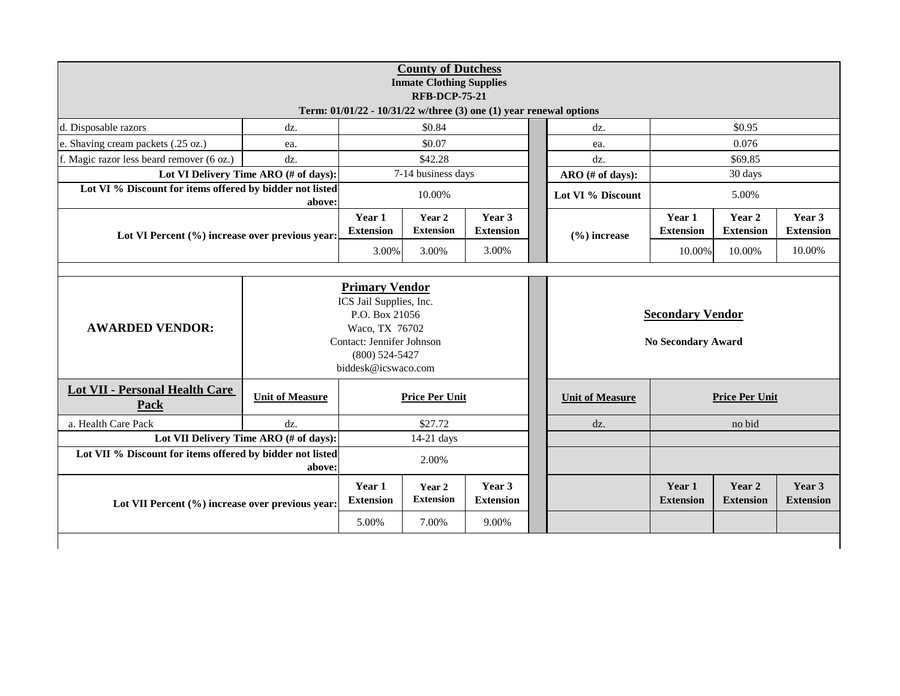| <b>County of Dutchess</b><br><b>Inmate Clothing Supplies</b><br><b>RFB-DCP-75-21</b> |                                                                                                                                     |                                                                          |                            |                            |  |                                                      |                            |                            |                            |  |  |
|--------------------------------------------------------------------------------------|-------------------------------------------------------------------------------------------------------------------------------------|--------------------------------------------------------------------------|----------------------------|----------------------------|--|------------------------------------------------------|----------------------------|----------------------------|----------------------------|--|--|
| Term: 01/01/22 - 10/31/22 w/three (3) one (1) year renewal options                   |                                                                                                                                     |                                                                          |                            |                            |  |                                                      |                            |                            |                            |  |  |
| d. Disposable razors                                                                 | dz.                                                                                                                                 |                                                                          | \$0.84                     |                            |  | dz.                                                  | \$0.95                     |                            |                            |  |  |
| e. Shaving cream packets (.25 oz.)                                                   | ea.                                                                                                                                 |                                                                          | \$0.07                     |                            |  | ea.                                                  | 0.076                      |                            |                            |  |  |
| f. Magic razor less beard remover (6 oz.)                                            | dz.                                                                                                                                 | \$42.28                                                                  |                            |                            |  | dz.                                                  | \$69.85                    |                            |                            |  |  |
|                                                                                      | Lot VI Delivery Time ARO (# of days):                                                                                               |                                                                          | 7-14 business days         |                            |  | ARO (# of days):                                     |                            | 30 days                    |                            |  |  |
| Lot VI % Discount for items offered by bidder not listed                             | above:                                                                                                                              |                                                                          | 10.00%                     |                            |  | Lot VI % Discount                                    |                            | 5.00%                      |                            |  |  |
| Lot VI Percent (%) increase over previous year:                                      |                                                                                                                                     | Year 1<br><b>Extension</b>                                               | Year 2<br><b>Extension</b> | Year 3<br><b>Extension</b> |  | $(\% )$ increase                                     | Year 1<br><b>Extension</b> | Year 2<br><b>Extension</b> | Year 3<br><b>Extension</b> |  |  |
|                                                                                      | 3.00%                                                                                                                               |                                                                          | 3.00%                      | 3.00%                      |  |                                                      | 10.00%                     | 10.00%                     | 10.00%                     |  |  |
| <b>AWARDED VENDOR:</b>                                                               | ICS Jail Supplies, Inc.<br>P.O. Box 21056<br>Waco, TX 76702<br>Contact: Jennifer Johnson<br>$(800)$ 524-5427<br>biddesk@icswaco.com |                                                                          |                            |                            |  | <b>Secondary Vendor</b><br><b>No Secondary Award</b> |                            |                            |                            |  |  |
| <b>Lot VII - Personal Health Care</b><br>Pack                                        | <b>Unit of Measure</b>                                                                                                              | <b>Price Per Unit</b><br><b>Price Per Unit</b><br><b>Unit of Measure</b> |                            |                            |  |                                                      |                            |                            |                            |  |  |
| a. Health Care Pack                                                                  | $dz$ .                                                                                                                              |                                                                          | \$27.72                    |                            |  | $dz$ .                                               | no bid                     |                            |                            |  |  |
|                                                                                      | Lot VII Delivery Time ARO (# of days):                                                                                              |                                                                          | $14-21$ days               |                            |  |                                                      |                            |                            |                            |  |  |
| Lot VII % Discount for items offered by bidder not listed                            |                                                                                                                                     | 2.00%                                                                    |                            |                            |  |                                                      |                            |                            |                            |  |  |
| Lot VII Percent (%) increase over previous year:                                     |                                                                                                                                     | Year 1<br><b>Extension</b>                                               | Year 2<br><b>Extension</b> | Year 3<br><b>Extension</b> |  |                                                      | Year 1<br><b>Extension</b> | Year 2<br><b>Extension</b> | Year 3<br><b>Extension</b> |  |  |
|                                                                                      |                                                                                                                                     | 5.00%                                                                    | 7.00%                      | 9.00%                      |  |                                                      |                            |                            |                            |  |  |
|                                                                                      |                                                                                                                                     |                                                                          |                            |                            |  |                                                      |                            |                            |                            |  |  |